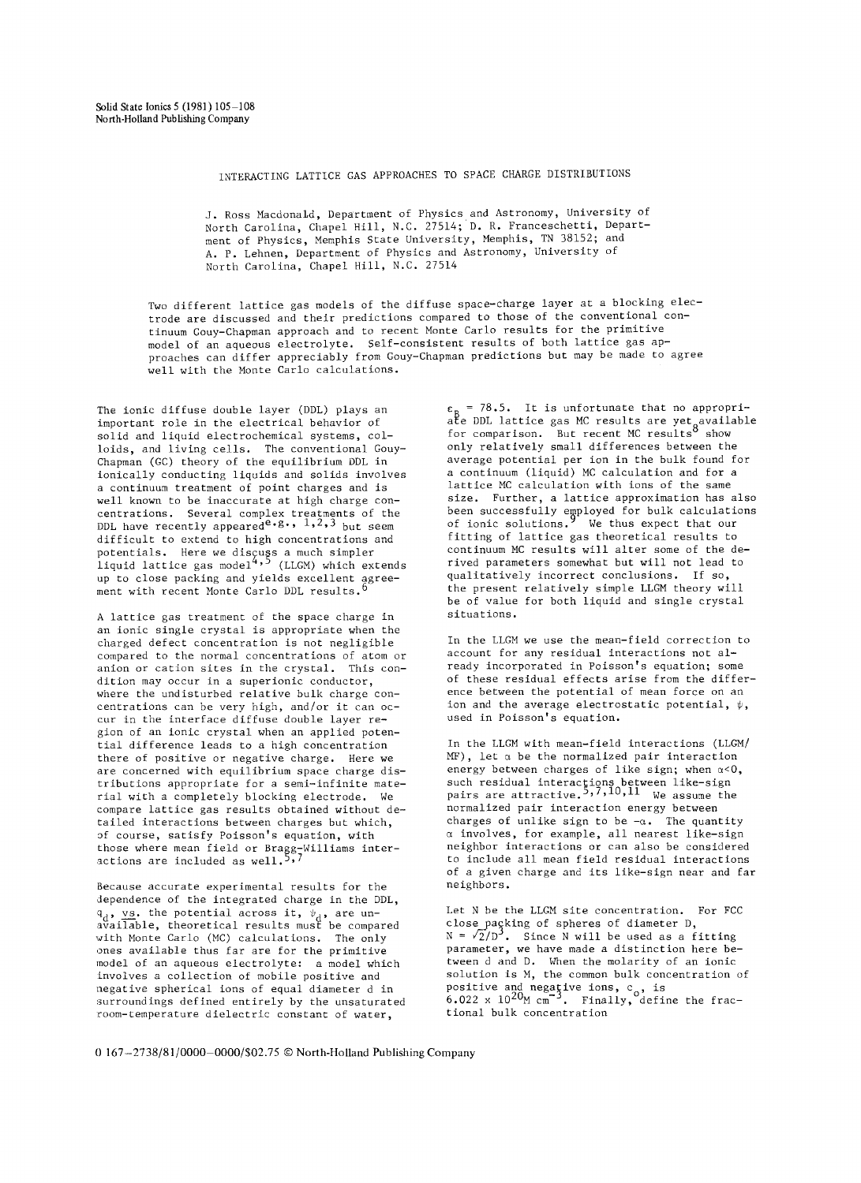INTERACTING LATTICE GAS APPROACHES TO SPACE CHARGE DISTRIBUTIONS

J. Ross Macdonald, Department of Physics and Astronomy, University of North Carolina, Chapel Hill, N.C. 27514; D. R. Franceschetti, Department of Physics, Memphis State University, Memphis, TN 38152; and A. P. Lehnen, Department of Physics and Astronomy, University of North Carolina, Chapel Hill, N.C. 27514

Two different lattice gas models of the diffuse space-charge layer at a blocking electrode are discussed and their predictions compared to those of the conventional continuum Gouy-Chapman approach and to recent Monte Carlo results for the primitive model of an aqueous electrolyte. Self-consistent results of both lattice gas approaches can differ appreciably from Gouy-Chapman predictions but may be made to agree well with the Monte Carlo calculations.

The ionic diffuse double layer (DDL) plays an important role in the electrical behavior of solid and liquid electrochemical systems, colloids, and living cells. The conventional Gouy-Chapman (GC) theory of the equilibrium DDL in ionically conducting liquids and solids involves a continuum treatment of point charges and is well known to be inaccurate at high charge concentrations. Several complex treatments of the DDL have recently appeared  $e.g., 1,2,3$  but seem difficult to extend to high concentrations and potentials. Here we discuss a much simpler liquid lattice gas model 4'5 (LLGM) which extends Iiquid lattice gas model<br>up to close packing and yields excellent agreement with recent Monte Carlo DDL results.

A lattice gas treatment of the space charge in an ionic single crystal is appropriate when the charged defect concentration is not negligible compared to the normal concentrations of atom or anion or cation sites in the crystal. This condition may occur in a superionic conductor, where the undisturbed relative bulk charge concentrations can be very high, and/or it can occur in the interface diffuse double layer region of an ionic crystal when an applied potential difference leads to a high concentration there of positive or negative charge. Here we are concerned with equilibrium space charge distributions appropriate for a semi-infinite material with a completely blocking electrode. We compare lattice gas results obtained without detailed interactions between charges but which, of course, satisfy Poisson's equation, with those where mean field or Bragg-Williams interactions are included as well.  $\cdot$ 

Because accurate experimental results for the dependence of the integrated charge in the DDL,  $\mathfrak{q}_{\scriptscriptstyle{A}}$ , vs. the potential across it,  $\mathfrak{\psi}_{\scriptscriptstyle{A}}$ , are unavailable, theoretical results must be compared with Monte Carlo (MC) calculations. The only ones available thus far are for the primitive model of an aqueous electrolyte: a model which involves a collection of mobile positive and negative spherical ions of equal diameter d in surroundings defined entirely by the unsaturated room-temperature dielectric constant of water,

 $\varepsilon_{\text{n}}$  = 78.5. It is unfortunate that no appropriate DDL lattice gas MC results are yet<sub>a</sub>available tor comparison. But recent MC results° show only relatively small differences between the average potential per ion in the bulk found for a continuum (liquid) MC calculation and for a lattice MC calculation with ions of the same size. Further, a lattice approximation has also been successfully employed for bulk calculations of ionic solutions.' We thus expect that our fitting of lattice gas theoretical results to continuum MC results will alter some of the derived parameters somewhat but will not lead to qualitatively incorrect conclusions. If so, the present relatively simple LLGM theory will be of value for both liquid and single crystal situations.

In the LLGM we use the mean-field correction to account for any residual interactions not already incorporated in Poisson's equation; some of these residual effects arise from the difference between the potential of mean force on an ion and the average electrostatic potential,  $\psi$ , used in Poisson's equation.

In the LLGM with mean-field interactions (LLGM/  $MF)$ , let  $\alpha$  be the normalized pair interaction energy between charges of like sign; when  $\alpha < 0$ , such residual interactions between like-sign pairs are attractive.",','",'" We assume the normalized pair interaction energy between charges of unlike sign to be  $-a$ . The quantity  $\alpha$  involves, for example, all nearest like-sign neighbor interactions or can also be considered to include all mean field residual interactions of a given charge and its like-sign near and far neighbors.

Let N be the LLGM site concentration. For FCC close paçking of spheres of diameter D,  $N = \sqrt{2/D^2}$ . Since N will be used as a fitting parameter, we have made a distinction here between d and D. When the molarity of an ionic solution is M, the common bulk concentration of positive and negative ions, c , is 6.022 x 1020M cm -3. Finally,°define the fractional bulk concentration

0 167-2738/81/0000-0000/\$02.75 © North-Holland Publishing Company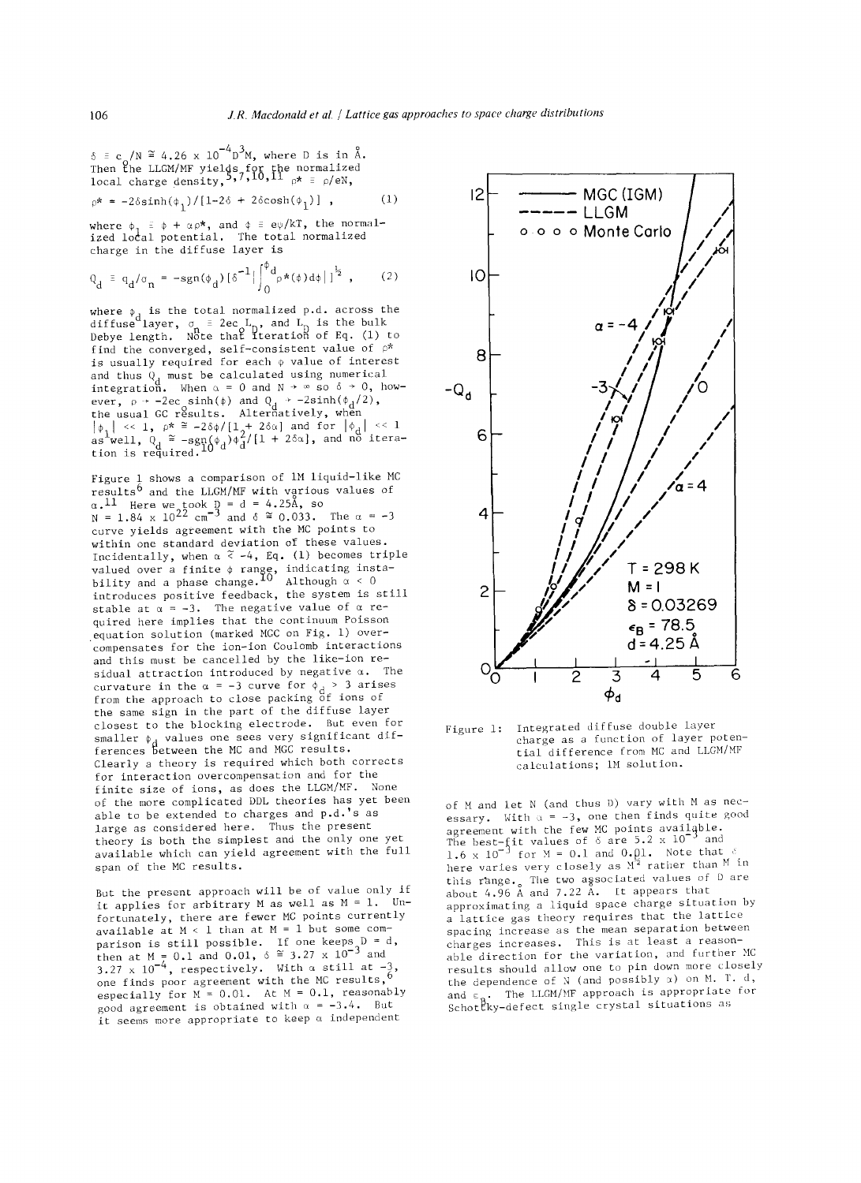$\delta \equiv c_o/N = 4.26 \times 10^{-10}$  M, where D is in A.<br>Then the LLGM/MF yields for the normalized<br>local charge density,  $5.7, 10, 11$   $_{\rho} \star \equiv \rho / eN$ ,

$$
\varphi^* = -2\delta\sinh(\phi_1)/[1-2\delta + 2\delta\cosh(\phi_1)] \quad , \tag{1}
$$

where  $\phi$ ,  $\equiv \phi + \alpha \rho^*$ , and  $\phi \equiv e\psi/kT$ , the normalized local potential. The total normalized charge in the diffuse layer is

$$
Q_d = q_d / \sigma_n = -sgn(\phi_d) [\delta^{-1} | \int_0^{\phi_d} \rho \star(\phi) d\phi | ]^{\frac{1}{2}}
$$
, (2)

where  $\phi$ , is the total normalized p.d. across the diffuse layer,  $\sigma_{\rm a}$  = 2ec L<sub>D</sub>, and L<sub>D</sub> is the bulk<br>Debye length. Note that iteration of Eq. (1) to find the converged, self-consistent value of  $\rho^*$ is usually required for each  $\phi$  value of interest and thus  $Q$ , must be calculated using numerical integration. When  $\alpha$  = 0 and N  $\rightarrow$  ∞ so 6  $\rightarrow$  0, nowever, p → -2ec sinh(φ) and Q<sub>d</sub> → -2sinh(φ<sub>d</sub>/2),<br>the usual GC results. Alternatively, when  $\left|\phi_1\right| \ll 1$ ,  $\rho^* \cong -2\delta\phi/[1\phi^2 + 2\delta\alpha]$  and for  $\left|\phi_1\right| \ll 1$ <br>as well,  $Q_1 \cong -\text{sgn}(\phi_1)\phi_1^2/[1 + 2\delta\alpha]$ , and no iteration is required.<sup>±v</sup>

Figure 1 shows a comparison of IM liquid-like MC results  $\overline{6}$  and the LLGM/MF with various values of  $\alpha$ . $^{\perp\perp}$  Here we took D = d = 4.25A, so  $N = 1.84 \times 10^{22}$  cm<sup>3</sup> and  $\delta = 0.033$ . The  $\alpha = -3$ curve yields agreement with the MC points to within one standard deviation of these values. Incidentally, when  $\alpha \nless -4$ , Eq. (1) becomes triple valued over a finite  $\phi$  range, indicating instability and a phase change. $10$  Although  $\alpha < 0$ introduces positive feedback, the system is still stable at  $\alpha = -3$ . The negative value of  $\alpha$  required here implies that the continuum Poisson equation solution (marked MGC on Fig. i) overcompensates for the ion-ion Coulomb interactions and this must be cancelled by the like-ion residual attraction introduced by negative  $\alpha$ . The curvature in the  $\alpha$  = -3 curve for  $\phi_A$  > 3 arises from the approach to close packing of ions of the same sign in the part of the diffuse layer closest to the blocking electrode. But even for smaller  $\phi$  , values one sees very significant differences between the MC and MGC results. Clearly a theory is required which both corrects for interaction overcompensation and for the finite size of ions, as does the LLGM/MF. None of the more complicated DDL theories has yet been able to be extended to charges and p.d.'s as large as considered here. Thus the present theory is both the simplest and the only one yet available which can yield agreement with the full span of the MC results.

But the present approach will be of value only if it applies for arbitrary M as well as  $M = 1$ . Unfortunately, there are fewer MC points currently available at  $M < 1$  than at  $M = 1$  but some comparison is still possible. It one keeps  $D = a$ , then at M =  $0.1$  and  $0.01$ ,  $\delta$  = 3.27 x 10  $^{\circ}$  and  $3.27 \times 10^{-4}$ , respectively. With  $\alpha$  still at -3, one finds poor agreement with the MC results," especially for  $M = 0.01$ . At  $M = 0.1$ , reasonably good agreement is obtained with  $\alpha = -3.4$ . But it seems more appropriate to keep  $\alpha$  independent



Figure 1: Integrated diffuse double layer charge as a function of layer potential difference from MC and LLGM/MF caiculations; IM solution.

of M and let N (and thus D) vary with M as necessary. With  $\alpha = -3$ , one then finds quite good agreement with the few MC points available.<br>The best-fit values of 6 are 5.2 x 10  $^{\circ}$  and  $1.6 \times 10^{-3}$  for M = 0.1 and 0.pl. Note that e here varies very closely as M1 rather than M in this range, .The two associated values of D are  $\,$ about 4.96 A and 7.22 A. .Lt appears that approximating a liquid space charge situation by a lattice gas theory requires that the lattice spacing increase as the mean separation between charges increases. This is at least a reasonable direction for the variation, and further MC results should allow one to pin down more closely the dependence of  $N$  (and possibly  $\alpha$ ) on M. T. d, and  $\epsilon$   $\blacksquare$  The LLGM/MF approach is appropriate for Schot~ky-defect single crystal situations as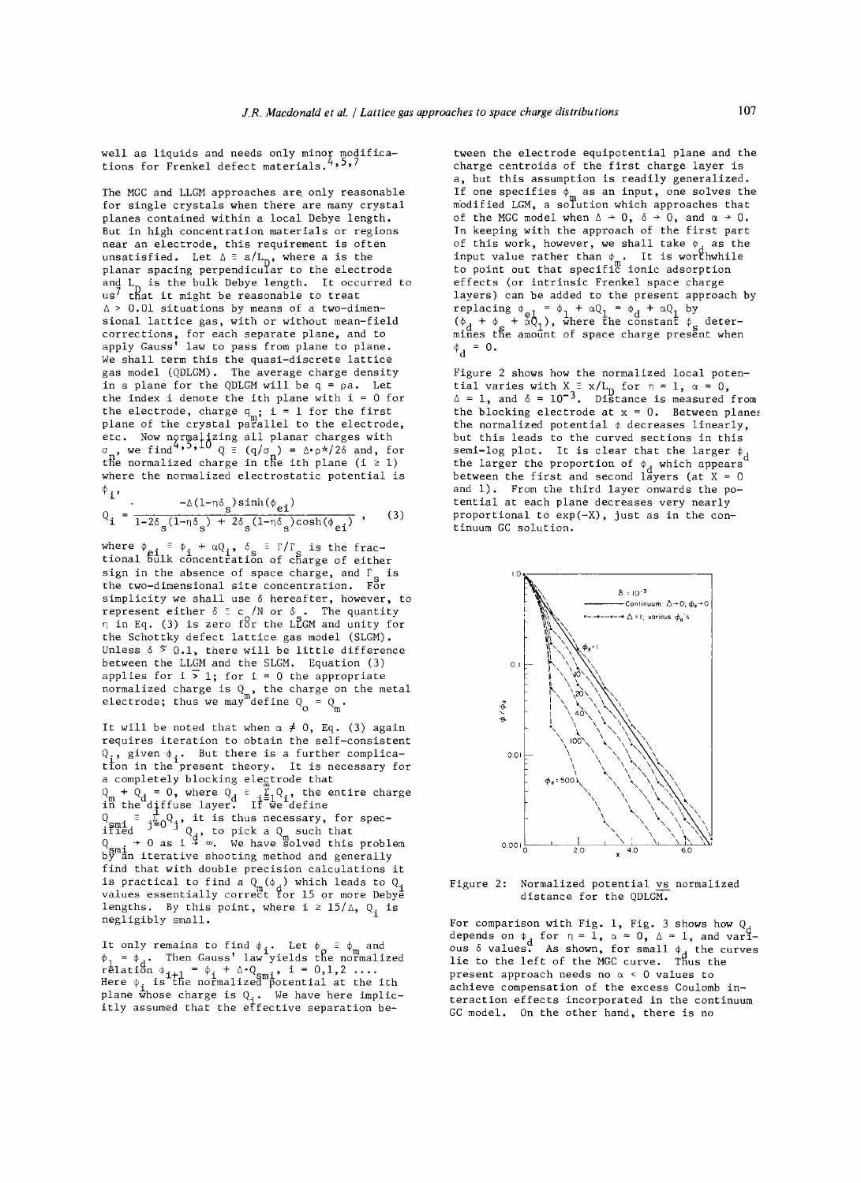well as liquids and needs only minor modifica-<br>tions for Encoded defect peteriols  $4.5.7$ tions for Frenkel defect materials.

The MGC and LLGM approaches are only reasonable for single crystals when there are many crystal planes contained within a local Debye length. But in high concentration materials or regions near an electrode, this requirement is often unsatisfied. Let  $\Delta \equiv a/L_{\rm D}$ , where a is the planar spacing perpendicular to the electrode and L, is the bulk Debye length. It occurred to us' that it might be reasonable to treat  $\Delta$  > 0.01 situations by means of a two-dimensional lattice gas, with or without mean-field corrections, for each separate plane, and to apply Gauss' law to pass from plane to plane. We shall term this the quasi-discrete lattice gas model (QDLGM). The average charge density in a plane for the QDLGM will be  $q = pa$ . Let the index i denote the ith plane with  $i = 0$  for the electrode, charge  $q_m$ ; i = 1 for the first plane of the crystal parallel to the electrode, etc. Now normalizing all planar charges with  $\sigma_{\perp}$ , we find '''  $\rightarrow^*$  Q = (q/ $\sigma_{\perp}$ ) =  $\Delta^* \rho^* / 2\delta$  and, for the normalized charge in the ith plane (i  $\geq$  l) where the normalized electrostatic potential is  $\phi$  , ,

$$
Q_{i} = \frac{-\Delta(1-\eta\delta_{s})\sinh(\phi_{ei})}{1-2\delta_{s}(1-\eta\delta_{s})+2\delta_{s}(1-\eta\delta_{s})\cosh(\phi_{ei})},
$$
 (3)

where  $\phi_{q,i} \equiv \phi_i + \alpha Q_i$ ,  $\delta_s \equiv \Gamma/\Gamma_s$  is the frac-<br>tional bulk concentration of charge of either sign in the absence of space charge, and  $\Gamma_{\rm s}$  is the two-dimensional site concentration. For simplicity we shall use  $\delta$  hereafter, however, to represent either  $\delta ~\tilde{=}~ c$  /N or  $\delta$  . The quantity  $\eta$  in Eq. (3) is zero för the LLGM and unity for the Schottky defect lattice gas model (SLGM). Unless  $\delta$   $\frac{8}{1}$ , there will be little difference between the LLGM and the SLGM. Equation (3) applies for  $i > 1$ ; for  $i = 0$  the appropriate normalized charge is Q , the charge on the metal electrode; thus we may define  $Q_\text{\tiny s}=Q_\text{\tiny s}$  .

It will be noted that when  $\alpha \neq 0$ , Eq. (3) again requires iteration to obtain the self-consistent  $Q_i$ , given  $\phi_i$ . But there is a further complicatton in the present theory. It is necessary for a completely blocking electrode that  $Q_{\rm m}$  +  $Q_{\rm d}$  = O, where  $Q_{\rm d}$  = . $\Sigma_{\rm d}$  i, the entire charge in the diffuse layer. If we define  $\mathrm{Q}_{\mathit{m-l}}$  = . $\mathrm{\Sigma_{n}Q}_{\mathit{l}}$ , it is thus necessary, for speciffed  $\begin{bmatrix}0&1\end{bmatrix}$  , to pick a  $Q_{\perp}$  such that  $\begin{array}{lcl} \mathrm{Q} & \to & 0 \text{ as } i \, \, \bar{\ast} \, \, \infty. \quad \text{We have } \mathrm{\ddot{s}olved this problem} \ \mathrm{b} \mathrm{\ddot{y}} \ \mathrm{an} \, \, \mathrm{iterative} \, \, \mathrm{shooting} \, \, \text{method and generally} \end{array}$ find that with double precision calculations it is practical to find a  $\mathbb{Q}_+(\phi_+)$  which leads to  $\mathbb{Q}_+$ values essentially correct for 15 or more Debyē lengths. By this point, where  $i \geq 15/\Delta$ , Q<sub>i</sub> is negligibly small.

It only remains to find  $\phi_{\alpha}$ . Let  $\phi_{\alpha} \equiv \phi_{\alpha}$  and  $\phi_{\bar{1}}$  =  $\phi_{\bar{d}}$ . Then Gauss' law yields the normalized relation  $\varphi_{i+1} = \varphi_i + \vartriangle^i Q_{\mathsf{sm} i}$ , i = 0,1,2 ....<br>Here  $\varphi_i$  is the normalized potential at the ith plane whose charge is Q.. We have here implicitly assumed that the effective separation be<del>-</del>

tween the electrode equipotential plane and the charge centroids of the first charge layer is a, but this assumption is readily generalized. If one specifies  $\phi_{\mathtt{m}}$  as an input, one solves the modified LGM, a solution which approaches that of the MGC model when  $\Delta \rightarrow 0$ ,  $\delta \rightarrow 0$ , and  $\alpha \rightarrow 0$ . In keeping with the approach of the first part of this work, however, we shall take  $\phi$  as the input value rather than  $\phi_{\perp}$ . It is worthwhile to point out that specific ionic adsorption effects (or intrinsic Frenkel space charge layers) can be added to the present approach by replacing  $\phi_{\alpha 1} = \phi_1 + \alpha Q_1 = \phi_A + \alpha Q_1$  by  $(\phi_d^+ + \phi_s^+ + \alpha Q_1^+),$  where the constant  $\phi_s^-$  deter-<br>mines the amount of space charge present when  $\Phi_{\bf d} = 0$  .

Figure 2 shows how the normalized local potential varies with X = x/L for  $\eta = 1$ ,  $\alpha = 0$ ,  $\Delta$  = 1, and  $\delta$  =  $10^{-3}$ . Distance is measured from the blocking electrode at  $x = 0$ . Between planes the normalized potential  $\phi$  decreases linearly, but this leads to the curved sections in this semi-log plot. It is clear that the larger  $\phi_d$ the larger the proportion of  $\phi$  , which appears  $\bar{~}$ between the first and second läyers (at  $X = 0$ and  $1$ ). From the third layer onwards the potential at each plane decreases very nearly proportional to exp(-X), just as in the continuum GC solution.



Figure 2: Normalized potential vs normalized **distance** for the QDLGM.

For comparison with Fig. 1, Fig. 3 shows how  $\mathbb{Q}_\text{d}$  depends on  $\phi$ , for  $\eta=1$ ,  $\alpha=0$ ,  $\mathbb{\Delta}=1$ , and various  $\delta$  values. As shown, for small  $\phi$ , the curves lie to the left of the MGC curve. Thus the present approach needs no  $\alpha < 0$  values to achieve compensation of the excess Coulomb interaction effects incorporated in the continuum GC model. On the other hand, there is no